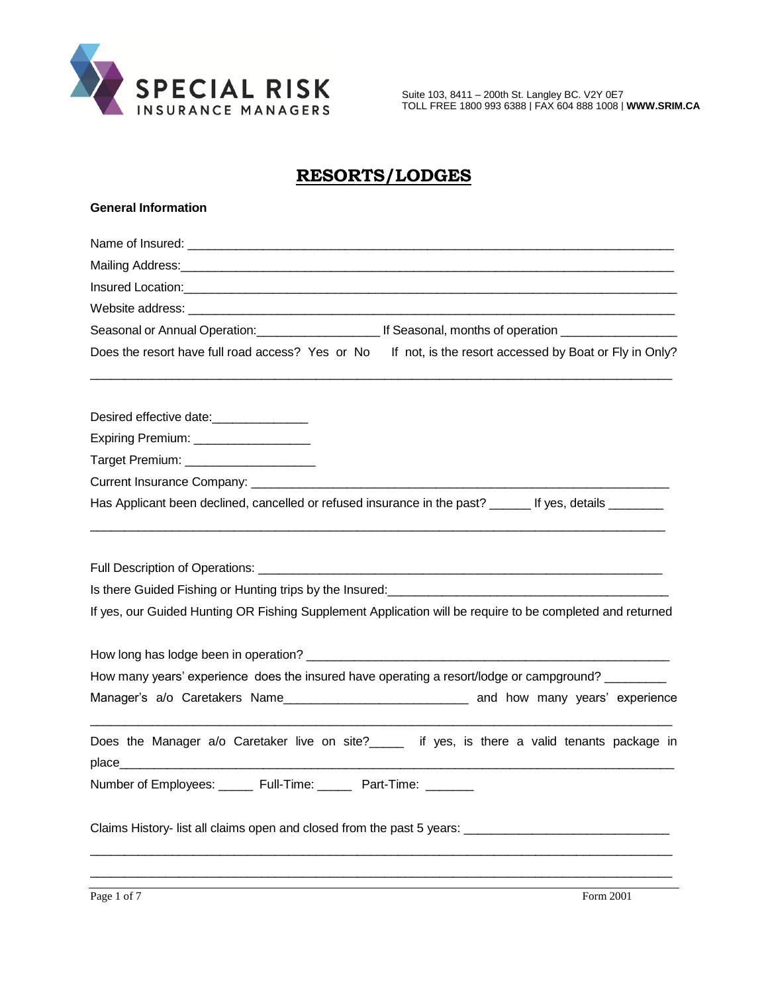

Suite 103, 8411 – 200th St. Langley BC. V2Y 0E7 TOLL FREE 1800 993 6388 | FAX 604 888 1008 | **[WWW.SRIM.CA](http://www.srim.ca/)**

# **RESORTS/LODGES**

| <b>General Information</b>                                                                                                                                                                                                                                                             |
|----------------------------------------------------------------------------------------------------------------------------------------------------------------------------------------------------------------------------------------------------------------------------------------|
|                                                                                                                                                                                                                                                                                        |
|                                                                                                                                                                                                                                                                                        |
|                                                                                                                                                                                                                                                                                        |
|                                                                                                                                                                                                                                                                                        |
| Seasonal or Annual Operation: Cambridge Life Seasonal, months of operation Communication                                                                                                                                                                                               |
| Does the resort have full road access? Yes or No If not, is the resort accessed by Boat or Fly in Only?                                                                                                                                                                                |
| Desired effective date:_______________                                                                                                                                                                                                                                                 |
| Expiring Premium: __________________                                                                                                                                                                                                                                                   |
| Target Premium: ______________________                                                                                                                                                                                                                                                 |
|                                                                                                                                                                                                                                                                                        |
| Has Applicant been declined, cancelled or refused insurance in the past? _______ If yes, details ________                                                                                                                                                                              |
| Is there Guided Fishing or Hunting trips by the Insured:<br>1992. [19] D. Longon, T. Longon, T. Longon, T. Longon, T. Longon, T. Longon, T. Longon, T. Longon, T. Longon,<br>If yes, our Guided Hunting OR Fishing Supplement Application will be require to be completed and returned |
|                                                                                                                                                                                                                                                                                        |
| How many years' experience does the insured have operating a resort/lodge or campground?                                                                                                                                                                                               |
|                                                                                                                                                                                                                                                                                        |
| Does the Manager a/o Caretaker live on site?_____ if yes, is there a valid tenants package in<br>place                                                                                                                                                                                 |
| Number of Employees: ______ Full-Time: ______ Part-Time: ______                                                                                                                                                                                                                        |
| Claims History- list all claims open and closed from the past 5 years: ____________________________                                                                                                                                                                                    |
|                                                                                                                                                                                                                                                                                        |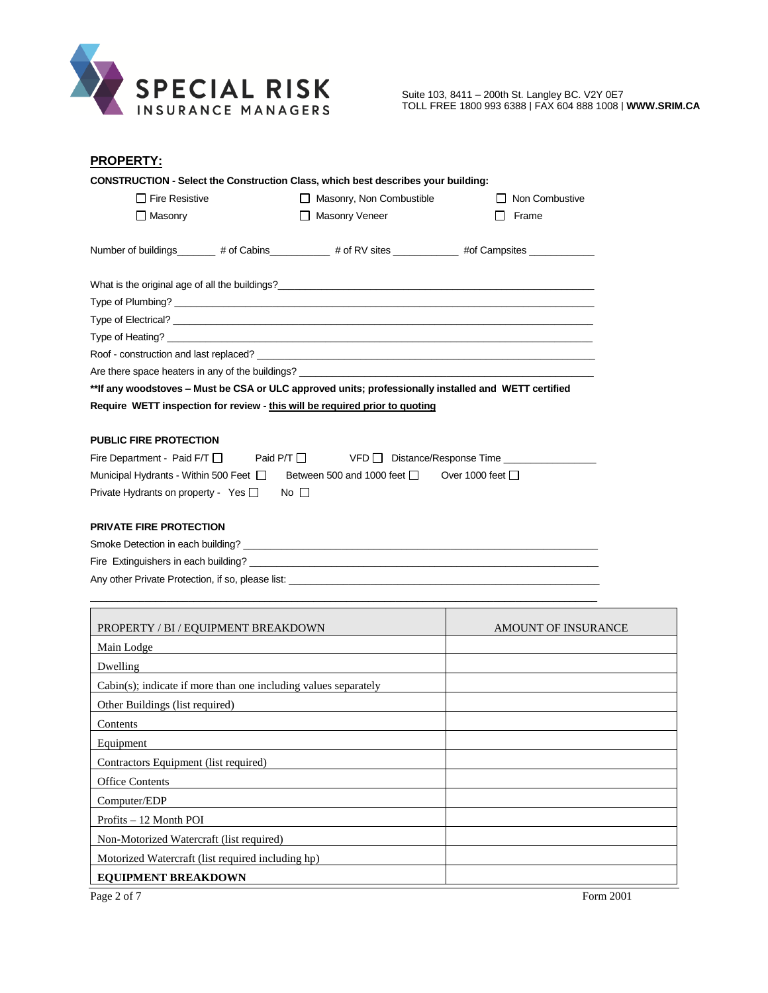

Suite 103, 8411 – 200th St. Langley BC. V2Y 0E7 TOLL FREE 1800 993 6388 | FAX 604 888 1008 | **[WWW.SRIM.CA](http://www.srim.ca/)**

| <b>PROPERTY:</b>                                                                                     |                                                                                                      |       |  |  |  |
|------------------------------------------------------------------------------------------------------|------------------------------------------------------------------------------------------------------|-------|--|--|--|
|                                                                                                      | <b>CONSTRUCTION - Select the Construction Class, which best describes your building:</b>             |       |  |  |  |
| $\Box$ Fire Resistive                                                                                | Masonry, Non Combustible<br>Non Combustive<br>$\perp$<br>$\mathbf{1}$                                |       |  |  |  |
| $\Box$ Masonry                                                                                       | Masonry Veneer                                                                                       | Frame |  |  |  |
|                                                                                                      | Number of buildings________ # of Cabins__________ # of RV sites ___________ #of Campsites __________ |       |  |  |  |
|                                                                                                      |                                                                                                      |       |  |  |  |
|                                                                                                      |                                                                                                      |       |  |  |  |
|                                                                                                      |                                                                                                      |       |  |  |  |
|                                                                                                      |                                                                                                      |       |  |  |  |
|                                                                                                      |                                                                                                      |       |  |  |  |
| Are there space heaters in any of the buildings?                                                     |                                                                                                      |       |  |  |  |
| **If any woodstoves – Must be CSA or ULC approved units; professionally installed and WETT certified |                                                                                                      |       |  |  |  |
|                                                                                                      | Require WETT inspection for review - this will be required prior to quoting                          |       |  |  |  |
|                                                                                                      |                                                                                                      |       |  |  |  |
| <b>PUBLIC FIRE PROTECTION</b>                                                                        |                                                                                                      |       |  |  |  |
| Fire Department - Paid F/T D Paid P/T D VFD Distance/Response Time                                   |                                                                                                      |       |  |  |  |
| Municipal Hydrants - Within 500 Feet □ Between 500 and 1000 feet □ Over 1000 feet □                  |                                                                                                      |       |  |  |  |
| Private Hydrants on property - Yes □<br>No I I                                                       |                                                                                                      |       |  |  |  |
|                                                                                                      |                                                                                                      |       |  |  |  |

#### **PRIVATE FIRE PROTECTION**

 $\mathsf{r}$ 

| Smoke Detection in each building?                 |  |
|---------------------------------------------------|--|
| Fire Extinguishers in each building?              |  |
| Any other Private Protection, if so, please list: |  |

 $\bot$  , and the contribution of the contribution of the contribution of the contribution of the contribution of  $\bot$ 

| PROPERTY / BI / EQUIPMENT BREAKDOWN                                | AMOUNT OF INSURANCE |
|--------------------------------------------------------------------|---------------------|
| Main Lodge                                                         |                     |
| Dwelling                                                           |                     |
| $Cabin(s)$ ; indicate if more than one including values separately |                     |
| Other Buildings (list required)                                    |                     |
| Contents                                                           |                     |
| Equipment                                                          |                     |
| Contractors Equipment (list required)                              |                     |
| <b>Office Contents</b>                                             |                     |
| Computer/EDP                                                       |                     |
| Profits – 12 Month POI                                             |                     |
| Non-Motorized Watercraft (list required)                           |                     |
| Motorized Watercraft (list required including hp)                  |                     |
| <b>EQUIPMENT BREAKDOWN</b>                                         |                     |

 $\mathbf{\overline{1}}$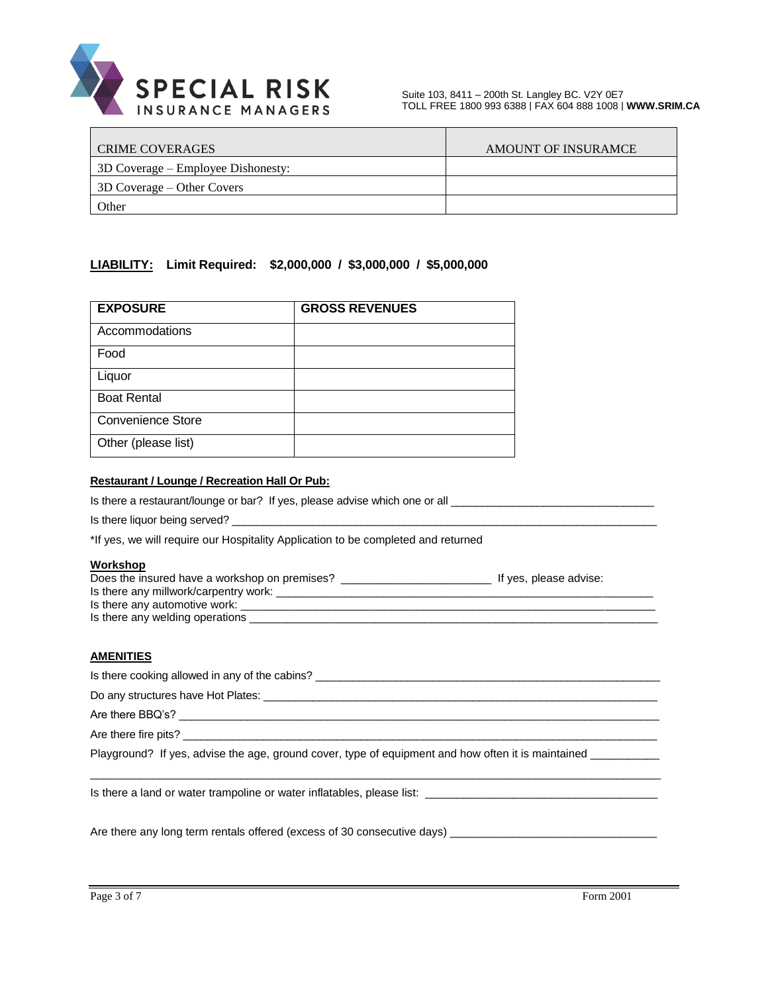

| <b>CRIME COVERAGES</b>             | AMOUNT OF INSURAMCE |
|------------------------------------|---------------------|
| 3D Coverage – Employee Dishonesty: |                     |
| 3D Coverage – Other Covers         |                     |
| Other                              |                     |

### **LIABILITY: Limit Required: \$2,000,000 / \$3,000,000 / \$5,000,000**

| <b>EXPOSURE</b>          | <b>GROSS REVENUES</b> |
|--------------------------|-----------------------|
| Accommodations           |                       |
| Food                     |                       |
| Liquor                   |                       |
| <b>Boat Rental</b>       |                       |
| <b>Convenience Store</b> |                       |
| Other (please list)      |                       |

### **Restaurant / Lounge / Recreation Hall Or Pub:**

| Workshop                                                                          |
|-----------------------------------------------------------------------------------|
| *If yes, we will require our Hospitality Application to be completed and returned |
| Is there liquor being served?                                                     |
| Is there a restaurant/lounge or bar? If yes, please advise which one or all       |

| Does the insured have a workshop on premises? | If yes, please advise: |  |
|-----------------------------------------------|------------------------|--|
| Is there any millwork/carpentry work:         |                        |  |
| Is there any automotive work:                 |                        |  |
| Is there any welding operations               |                        |  |
|                                               |                        |  |

### **AMENITIES**

| Is there cooking allowed in any of the cabins? _________________________________                           |
|------------------------------------------------------------------------------------------------------------|
|                                                                                                            |
|                                                                                                            |
| Are there fire pits?                                                                                       |
| Playground? If yes, advise the age, ground cover, type of equipment and how often it is maintained _______ |
| Is there a land or water trampoline or water inflatables, please list: ____________________________        |

Are there any long term rentals offered (excess of 30 consecutive days) \_\_\_\_\_\_\_\_\_\_\_\_\_\_\_\_\_\_\_\_\_\_\_\_\_\_\_\_\_\_\_\_\_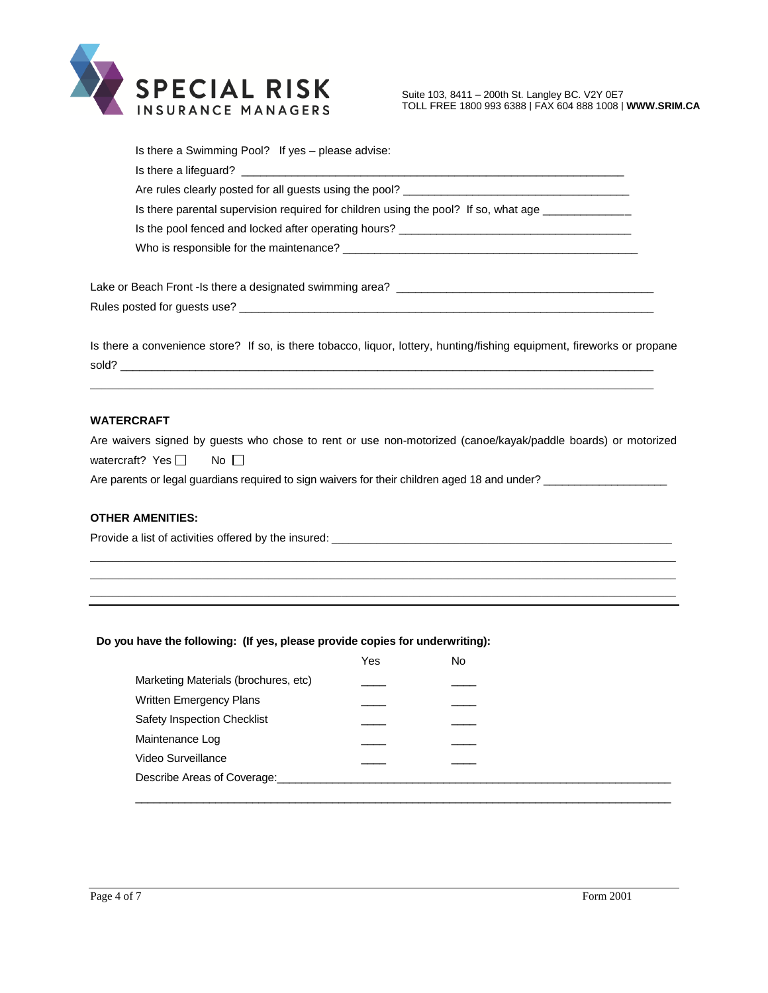

Suite 103, 8411 – 200th St. Langley BC. V2Y 0E7 TOLL FREE 1800 993 6388 | FAX 604 888 1008 | **[WWW.SRIM.CA](http://www.srim.ca/)**

| Is there a Swimming Pool? If yes - please advise:                                                                                                                                                                              |
|--------------------------------------------------------------------------------------------------------------------------------------------------------------------------------------------------------------------------------|
| Is there a lifeguard? The contract of the contract of the contract of the contract of the contract of the contract of the contract of the contract of the contract of the contract of the contract of the contract of the cont |
|                                                                                                                                                                                                                                |
| Is there parental supervision required for children using the pool? If so, what age _____________                                                                                                                              |
| Is the pool fenced and locked after operating hours?                                                                                                                                                                           |
|                                                                                                                                                                                                                                |
|                                                                                                                                                                                                                                |
|                                                                                                                                                                                                                                |
|                                                                                                                                                                                                                                |

Is there a convenience store? If so, is there tobacco, liquor, lottery, hunting/fishing equipment, fireworks or propane sold? \_\_\_\_\_\_\_\_\_\_\_\_\_\_\_\_\_\_\_\_\_\_\_\_\_\_\_\_\_\_\_\_\_\_\_\_\_\_\_\_\_\_\_\_\_\_\_\_\_\_\_\_\_\_\_\_\_\_\_\_\_\_\_\_\_\_\_\_\_\_\_\_\_\_\_\_\_\_\_\_\_\_\_\_\_

 $\_$  ,  $\_$  ,  $\_$  ,  $\_$  ,  $\_$  ,  $\_$  ,  $\_$  ,  $\_$  ,  $\_$  ,  $\_$  ,  $\_$  ,  $\_$  ,  $\_$  ,  $\_$  ,  $\_$  ,  $\_$  ,  $\_$  ,  $\_$  ,  $\_$  ,  $\_$  ,  $\_$  ,  $\_$  ,  $\_$  ,  $\_$  ,  $\_$  ,  $\_$  ,  $\_$  ,  $\_$  ,  $\_$  ,  $\_$  ,  $\_$  ,  $\_$  ,  $\_$  ,  $\_$  ,  $\_$  ,  $\_$  ,  $\_$  ,

### **WATERCRAFT**

Are waivers signed by guests who chose to rent or use non-motorized (canoe/kayak/paddle boards) or motorized watercraft? Yes  $\Box$  No  $\Box$ 

\_\_\_\_\_\_\_\_\_\_\_\_\_\_\_\_\_\_\_\_\_\_\_\_\_\_\_\_\_\_\_\_\_\_\_\_\_\_\_\_\_\_\_\_\_\_\_\_\_\_\_\_\_\_\_\_\_\_\_\_\_\_\_\_\_\_\_\_\_\_\_\_\_\_\_\_\_\_\_\_\_\_\_\_\_\_\_\_\_\_\_\_\_\_\_\_\_\_\_\_\_\_\_\_\_ \_\_\_\_\_\_\_\_\_\_\_\_\_\_\_\_\_\_\_\_\_\_\_\_\_\_\_\_\_\_\_\_\_\_\_\_\_\_\_\_\_\_\_\_\_\_\_\_\_\_\_\_\_\_\_\_\_\_\_\_\_\_\_\_\_\_\_\_\_\_\_\_\_\_\_\_\_\_\_\_\_\_\_\_\_\_\_\_\_\_\_\_\_\_\_\_\_\_\_\_\_\_\_\_\_ \_\_\_\_\_\_\_\_\_\_\_\_\_\_\_\_\_\_\_\_\_\_\_\_\_\_\_\_\_\_\_\_\_\_\_\_\_\_\_\_\_\_\_\_\_\_\_\_\_\_\_\_\_\_\_\_\_\_\_\_\_\_\_\_\_\_\_\_\_\_\_\_\_\_\_\_\_\_\_\_\_\_\_\_\_\_\_\_\_\_\_\_\_\_\_\_\_\_\_\_\_\_\_\_\_

Are parents or legal guardians required to sign waivers for their children aged 18 and under? \_\_\_\_\_\_\_\_\_\_\_\_\_\_\_\_

### **OTHER AMENITIES:**

Provide a list of activities offered by the insured: \_\_\_\_\_\_\_\_\_\_\_\_\_\_\_\_\_\_\_\_\_\_\_\_\_\_\_\_\_\_\_\_\_\_\_\_\_\_\_\_\_\_\_\_\_\_\_\_\_\_\_\_\_\_\_\_\_\_\_\_\_

### **Do you have the following: (If yes, please provide copies for underwriting):**

|                                      | Yes | No |
|--------------------------------------|-----|----|
| Marketing Materials (brochures, etc) |     |    |
| Written Emergency Plans              |     |    |
| <b>Safety Inspection Checklist</b>   |     |    |
| Maintenance Log                      |     |    |
| Video Surveillance                   |     |    |
| Describe Areas of Coverage:          |     |    |
|                                      |     |    |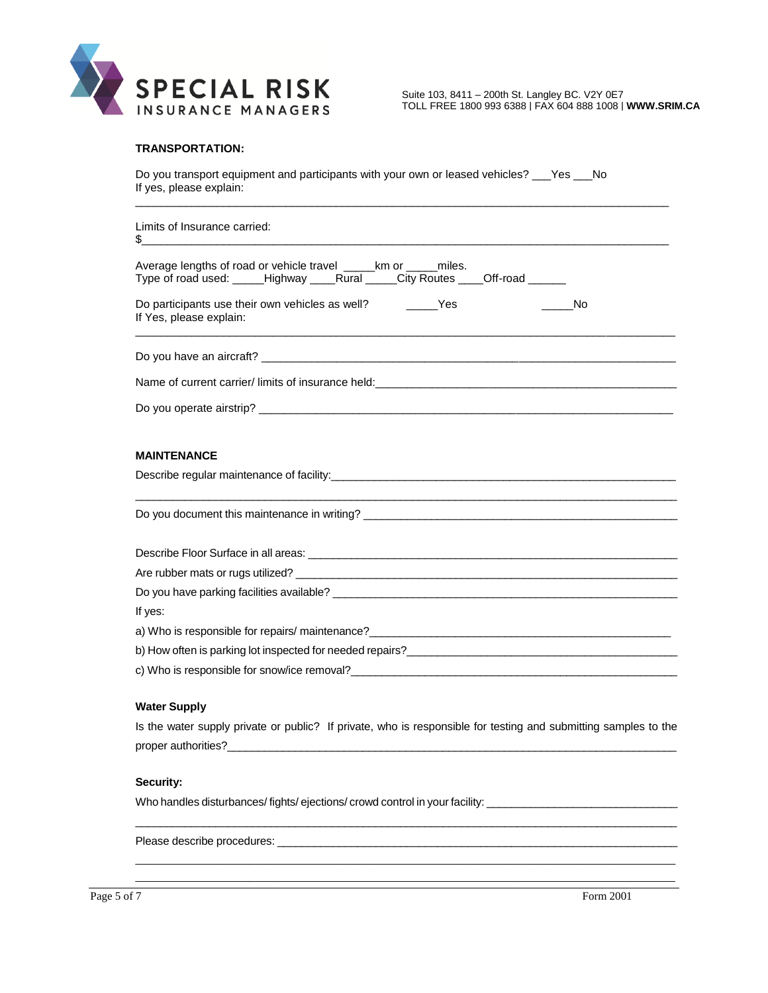

TOLL FREE 1800 993 6388 | FAX 604 888 1008 | **[WWW.SRIM.CA](http://www.srim.ca/)**

### **TRANSPORTATION:**

Do you transport equipment and participants with your own or leased vehicles? \_\_\_Yes \_\_\_No If yes, please explain:

\_\_\_\_\_\_\_\_\_\_\_\_\_\_\_\_\_\_\_\_\_\_\_\_\_\_\_\_\_\_\_\_\_\_\_\_\_\_\_\_\_\_\_\_\_\_\_\_\_\_\_\_\_\_\_\_\_\_\_\_\_\_\_\_\_\_\_\_\_\_\_\_\_\_\_\_\_\_\_\_\_\_\_\_\_

| Limits of Insurance carried:<br>\$<br><u> 1990 - Johann Stoff, amerikansk politiker (d. 1980)</u>                                                                                                                               |
|---------------------------------------------------------------------------------------------------------------------------------------------------------------------------------------------------------------------------------|
| Average lengths of road or vehicle travel ______km or ______miles.<br>Type of road used: _____Highway ____Rural _____City Routes ____Off-road ______                                                                            |
| Do participants use their own vehicles as well? _________Yes<br>a No<br>If Yes, please explain:                                                                                                                                 |
|                                                                                                                                                                                                                                 |
|                                                                                                                                                                                                                                 |
|                                                                                                                                                                                                                                 |
| <b>MAINTENANCE</b>                                                                                                                                                                                                              |
| Describe regular maintenance of facility:<br><u>Describe regular maintenance</u> of facility:<br><u>Describe regular</u>                                                                                                        |
|                                                                                                                                                                                                                                 |
|                                                                                                                                                                                                                                 |
|                                                                                                                                                                                                                                 |
|                                                                                                                                                                                                                                 |
| If yes:                                                                                                                                                                                                                         |
|                                                                                                                                                                                                                                 |
| b) How often is parking lot inspected for needed repairs?<br>in the contract of the contract of the contract of the contract of the contract of the contract of the contract of the contract of the contract of the contract of |
| c) Who is responsible for snow/ice removal?                                                                                                                                                                                     |

#### **Water Supply**

Is the water supply private or public? If private, who is responsible for testing and submitting samples to the proper authorities?\_\_\_\_\_\_\_\_\_\_\_\_\_\_\_\_\_\_\_\_\_\_\_\_\_\_\_\_\_\_\_\_\_\_\_\_\_\_\_\_\_\_\_\_\_\_\_\_\_\_\_\_\_\_\_\_\_\_\_\_\_\_\_\_\_\_\_\_\_\_\_\_\_

 $\mathcal{L}_\mathcal{L} = \{ \mathcal{L}_\mathcal{L} = \{ \mathcal{L}_\mathcal{L} = \{ \mathcal{L}_\mathcal{L} = \{ \mathcal{L}_\mathcal{L} = \{ \mathcal{L}_\mathcal{L} = \{ \mathcal{L}_\mathcal{L} = \{ \mathcal{L}_\mathcal{L} = \{ \mathcal{L}_\mathcal{L} = \{ \mathcal{L}_\mathcal{L} = \{ \mathcal{L}_\mathcal{L} = \{ \mathcal{L}_\mathcal{L} = \{ \mathcal{L}_\mathcal{L} = \{ \mathcal{L}_\mathcal{L} = \{ \mathcal{L}_\mathcal{$ 

\_\_\_\_\_\_\_\_\_\_\_\_\_\_\_\_\_\_\_\_\_\_\_\_\_\_\_\_\_\_\_\_\_\_\_\_\_\_\_\_\_\_\_\_\_\_\_\_\_\_\_\_\_\_\_\_\_\_\_\_\_\_\_\_\_\_\_\_\_\_\_\_\_\_\_\_\_\_\_\_\_\_\_\_\_\_\_\_\_\_\_\_\_\_\_\_\_\_\_  $\bot$  , and the contribution of the contribution of the contribution of the contribution of the contribution of the contribution of the contribution of the contribution of the contribution of the contribution of the contri

### **Security:**

Who handles disturbances/ fights/ ejections/ crowd control in your facility: \_\_\_\_\_\_\_\_\_\_\_\_\_\_\_\_\_\_\_\_\_\_\_\_\_\_\_\_\_\_\_\_\_

Please describe procedures: \_\_\_\_\_\_\_\_\_\_\_\_\_\_\_\_\_\_\_\_\_\_\_\_\_\_\_\_\_\_\_\_\_\_\_\_\_\_\_\_\_\_\_\_\_\_\_\_\_\_\_\_\_\_\_\_\_\_\_\_\_\_\_\_\_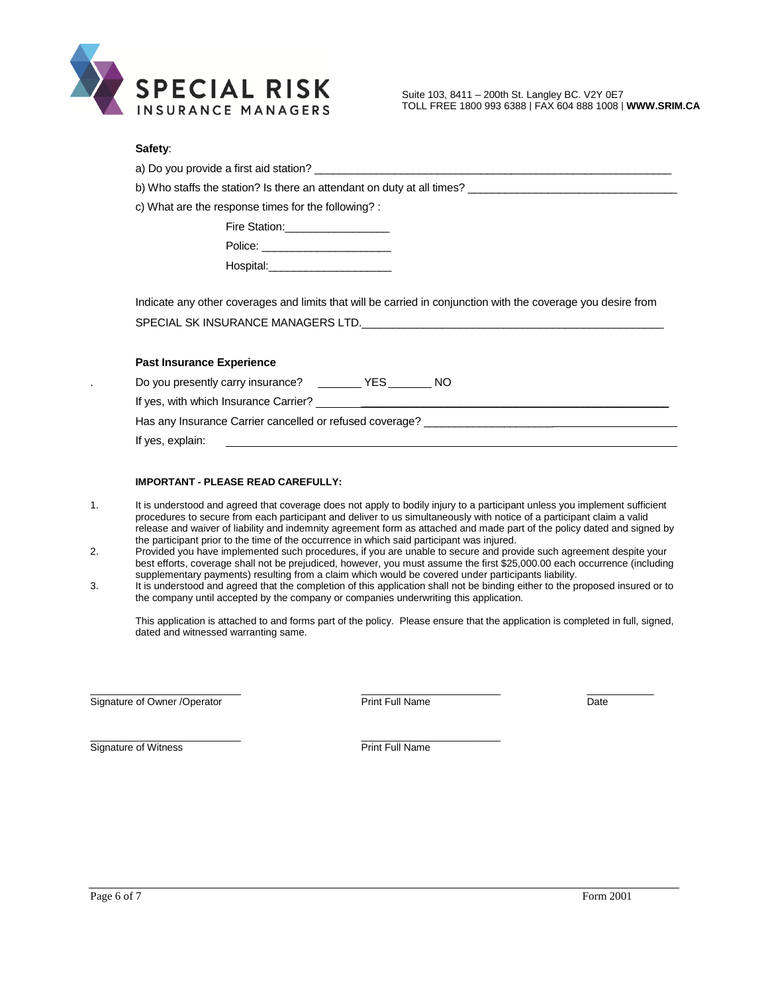

#### **Safety**:

a) Do you provide a first aid station? \_\_\_\_\_\_\_\_\_\_\_\_

b) Who staffs the station? Is there an attendant on duty at all times? \_\_\_\_\_\_\_\_\_\_\_\_\_\_\_

c) What are the response times for the following? :

| Fire Station: |  |
|---------------|--|
| Police:       |  |

| Hospital: |  |  |
|-----------|--|--|

Indicate any other coverages and limits that will be carried in conjunction with the coverage you desire from SPECIAL SK INSURANCE MANAGERS LTD.\_\_\_\_\_\_\_\_\_\_\_\_\_\_\_\_\_\_\_\_\_\_\_\_\_\_\_\_\_\_\_\_\_\_\_\_\_\_\_\_\_\_\_\_\_\_\_\_\_

#### **Past Insurance Experience**

|  | Do you presently carry insurance? | YES | NΟ |
|--|-----------------------------------|-----|----|
|  |                                   |     |    |

\_\_\_\_\_\_\_\_\_\_\_\_\_\_\_\_\_\_\_\_\_\_\_\_\_\_\_ \_\_\_\_\_\_\_\_\_\_\_\_\_\_\_\_\_\_\_\_\_\_\_\_\_

If yes, with which Insurance Carrier? **Example 20** Note that the state of the state of the state of the state of the state of the state of the state of the state of the state of the state of the state of the state of the s

Has any Insurance Carrier cancelled or refused coverage? \_\_\_\_\_\_\_\_\_\_\_\_\_\_\_\_\_\_\_\_\_\_\_

If yes, explain:

#### **IMPORTANT - PLEASE READ CAREFULLY:**

- 1. It is understood and agreed that coverage does not apply to bodily injury to a participant unless you implement sufficient procedures to secure from each participant and deliver to us simultaneously with notice of a participant claim a valid release and waiver of liability and indemnity agreement form as attached and made part of the policy dated and signed by the participant prior to the time of the occurrence in which said participant was injured.
- 2. Provided you have implemented such procedures, if you are unable to secure and provide such agreement despite your best efforts, coverage shall not be prejudiced, however, you must assume the first \$25,000.00 each occurrence (including supplementary payments) resulting from a claim which would be covered under participants liability.
- 3. It is understood and agreed that the completion of this application shall not be binding either to the proposed insured or to the company until accepted by the company or companies underwriting this application.

This application is attached to and forms part of the policy. Please ensure that the application is completed in full, signed, dated and witnessed warranting same.

Signature of Owner /Operator **Print Full Name** Print Full Name **Date** 

 $\_$  , and the set of the set of the set of the set of the set of the set of the set of the set of the set of the set of the set of the set of the set of the set of the set of the set of the set of the set of the set of th

Signature of Witness **Print Full Name**